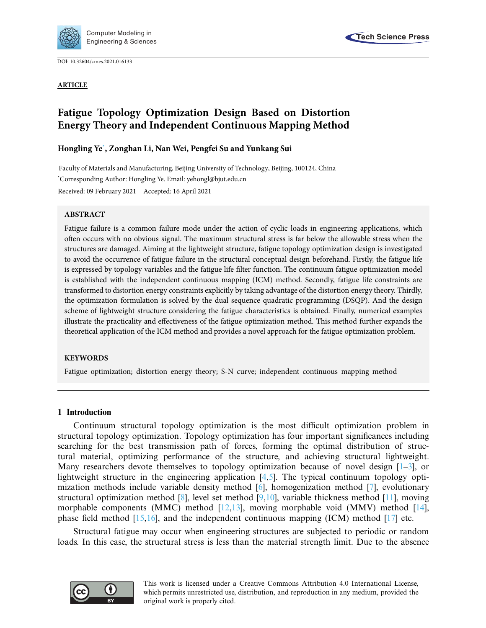

DOI: [10.32604/cmes.2021.016133](http://dx.doi.org/10.32604/cmes.2021.016133)



**ARTICLE**

# **Fatigue Topology Optimization Design Based on Distortion Energy Theory and Independent Continuous Mapping Method**

# **Hongling Y[e\\*](#page-0-0) , Zonghan Li, Nan Wei, Pengfei Su and Yunkang Sui**

<span id="page-0-0"></span>Faculty of Materials and Manufacturing, Beijing University of Technology, Beijing, 100124, China \* Corresponding Author: Hongling Ye. Email: yehongl@bjut.edu.cn Received: 09 February 2021 Accepted: 16 April 2021

# **ABSTRACT**

Fatigue failure is a common failure mode under the action of cyclic loads in engineering applications, which often occurs with no obvious signal. The maximum structural stress is far below the allowable stress when the structures are damaged. Aiming at the lightweight structure, fatigue topology optimization design is investigated to avoid the occurrence of fatigue failure in the structural conceptual design beforehand. Firstly, the fatigue life is expressed by topology variables and the fatigue life filter function. The continuum fatigue optimization model is established with the independent continuous mapping (ICM) method. Secondly, fatigue life constraints are transformed to distortion energy constraints explicitly by taking advantage of the distortion energy theory. Thirdly, the optimization formulation is solved by the dual sequence quadratic programming (DSQP). And the design scheme of lightweight structure considering the fatigue characteristics is obtained. Finally, numerical examples illustrate the practicality and effectiveness of the fatigue optimization method. This method further expands the theoretical application of the ICM method and provides a novel approach for the fatigue optimization problem.

# **KEYWORDS**

Fatigue optimization; distortion energy theory; S-N curve; independent continuous mapping method

# **1 Introduction**

Continuum structural topology optimization is the most difficult optimization problem in structural topology optimization. Topology optimization has four important significances including searching for the best transmission path of forces, forming the optimal distribution of structural material, optimizing performance of the structure, and achieving structural lightweight. Many researchers devote themselves to topology optimization because of novel design  $[1-3]$  $[1-3]$ , or lightweight structure in the engineering application  $[4,5]$  $[4,5]$  $[4,5]$ . The typical continuum topology optimization methods include variable density method [\[6\]](#page-16-1), homogenization method [\[7\]](#page-16-2), evolutionary structural optimization method [\[8\]](#page-16-3), level set method [\[9](#page-16-4)[,10\]](#page-16-5), variable thickness method [\[11](#page-16-6)], moving morphable components (MMC) method [\[12](#page-16-7)[,13\]](#page-16-8), moving morphable void (MMV) method [\[14\]](#page-16-9), phase field method  $[15,16]$  $[15,16]$ , and the independent continuous mapping  $(ICM)$  method  $[17]$  $[17]$  etc.

Structural fatigue may occur when engineering structures are subjected to periodic or random loads. In this case, the structural stress is less than the material strength limit. Due to the absence

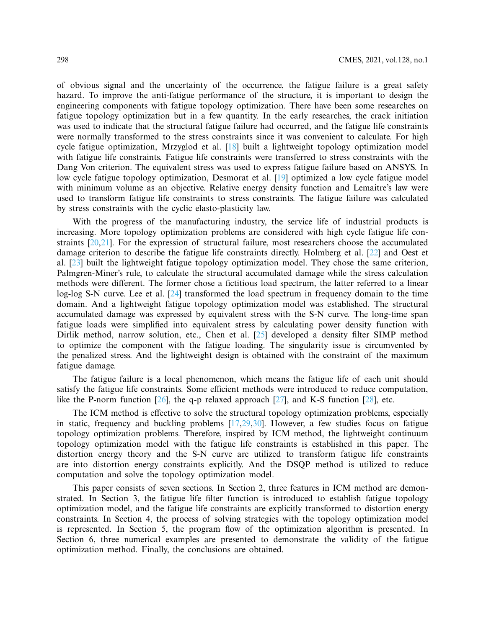of obvious signal and the uncertainty of the occurrence, the fatigue failure is a great safety hazard. To improve the anti-fatigue performance of the structure, it is important to design the engineering components with fatigue topology optimization. There have been some researches on fatigue topology optimization but in a few quantity. In the early researches, the crack initiation was used to indicate that the structural fatigue failure had occurred, and the fatigue life constraints were normally transformed to the stress constraints since it was convenient to calculate. For high cycle fatigue optimization, Mrzyglod et al. [\[18\]](#page-16-13) built a lightweight topology optimization model with fatigue life constraints. Fatigue life constraints were transferred to stress constraints with the Dang Von criterion. The equivalent stress was used to express fatigue failure based on ANSYS. In low cycle fatigue topology optimization, Desmorat et al. [\[19\]](#page-16-14) optimized a low cycle fatigue model with minimum volume as an objective. Relative energy density function and Lemaitre's law were used to transform fatigue life constraints to stress constraints. The fatigue failure was calculated by stress constraints with the cyclic elasto-plasticity law.

With the progress of the manufacturing industry, the service life of industrial products is increasing. More topology optimization problems are considered with high cycle fatigue life constraints [\[20](#page-16-15)[,21](#page-16-16)]. For the expression of structural failure, most researchers choose the accumulated damage criterion to describe the fatigue life constraints directly. Holmberg et al. [\[22\]](#page-16-17) and Oest et al. [\[23\]](#page-16-18) built the lightweight fatigue topology optimization model. They chose the same criterion, Palmgren-Miner's rule, to calculate the structural accumulated damage while the stress calculation methods were different. The former chose a fictitious load spectrum, the latter referred to a linear log-log S-N curve. Lee et al. [\[24\]](#page-16-19) transformed the load spectrum in frequency domain to the time domain. And a lightweight fatigue topology optimization model was established. The structural accumulated damage was expressed by equivalent stress with the S-N curve. The long-time span fatigue loads were simplified into equivalent stress by calculating power density function with Dirlik method, narrow solution, etc., Chen et al. [\[25\]](#page-17-0) developed a density filter SIMP method to optimize the component with the fatigue loading. The singularity issue is circumvented by the penalized stress. And the lightweight design is obtained with the constraint of the maximum fatigue damage.

The fatigue failure is a local phenomenon, which means the fatigue life of each unit should satisfy the fatigue life constraints. Some efficient methods were introduced to reduce computation, like the P-norm function  $[26]$  $[26]$ , the q-p relaxed approach  $[27]$  $[27]$ , and K-S function  $[28]$  $[28]$ , etc.

The ICM method is effective to solve the structural topology optimization problems, especially in static, frequency and buckling problems [\[17](#page-16-12)[,29](#page-17-4)[,30\]](#page-17-5). However, a few studies focus on fatigue topology optimization problems. Therefore, inspired by ICM method, the lightweight continuum topology optimization model with the fatigue life constraints is established in this paper. The distortion energy theory and the S-N curve are utilized to transform fatigue life constraints are into distortion energy constraints explicitly. And the DSQP method is utilized to reduce computation and solve the topology optimization model.

This paper consists of seven sections. In Section 2, three features in ICM method are demonstrated. In Section 3, the fatigue life filter function is introduced to establish fatigue topology optimization model, and the fatigue life constraints are explicitly transformed to distortion energy constraints. In Section 4, the process of solving strategies with the topology optimization model is represented. In Section 5, the program flow of the optimization algorithm is presented. In Section 6, three numerical examples are presented to demonstrate the validity of the fatigue optimization method. Finally, the conclusions are obtained.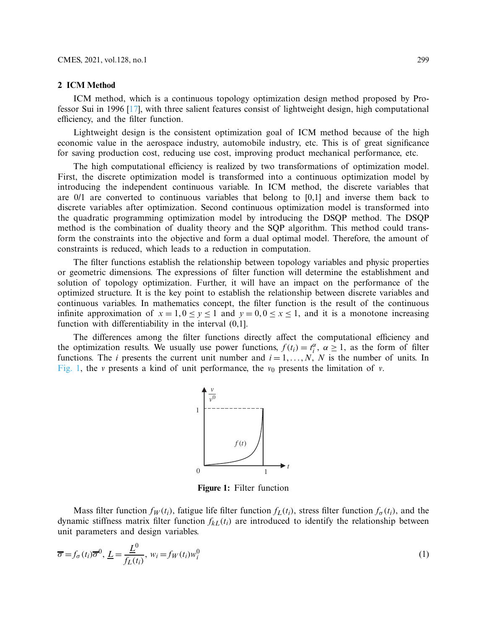#### **2 ICM Method**

ICM method, which is a continuous topology optimization design method proposed by Professor Sui in 1996 [\[17\]](#page-16-12), with three salient features consist of lightweight design, high computational efficiency, and the filter function.

Lightweight design is the consistent optimization goal of ICM method because of the high economic value in the aerospace industry, automobile industry, etc. This is of great significance for saving production cost, reducing use cost, improving product mechanical performance, etc.

The high computational efficiency is realized by two transformations of optimization model. First, the discrete optimization model is transformed into a continuous optimization model by introducing the independent continuous variable. In ICM method, the discrete variables that are 0/1 are converted to continuous variables that belong to [0,1] and inverse them back to discrete variables after optimization. Second continuous optimization model is transformed into the quadratic programming optimization model by introducing the DSQP method. The DSQP method is the combination of duality theory and the SQP algorithm. This method could transform the constraints into the objective and form a dual optimal model. Therefore, the amount of constraints is reduced, which leads to a reduction in computation.

The filter functions establish the relationship between topology variables and physic properties or geometric dimensions. The expressions of filter function will determine the establishment and solution of topology optimization. Further, it will have an impact on the performance of the optimized structure. It is the key point to establish the relationship between discrete variables and continuous variables. In mathematics concept, the filter function is the result of the continuous infinite approximation of  $x = 1, 0 \le y \le 1$  and  $y = 0, 0 \le x \le 1$ , and it is a monotone increasing function with differentiability in the interval (0,1].

The differences among the filter functions directly affect the computational efficiency and the optimization results. We usually use power functions,  $f(t_i) = t_i^{\alpha}$ ,  $\alpha \ge 1$ , as the form of filter functions. The *i* presents the current unit number and  $i = 1, \ldots, N$ , *N* is the number of units. In [Fig. 1,](#page-2-0) the *v* presents a kind of unit performance, the  $v_0$  presents the limitation of *v*.



<span id="page-2-1"></span><span id="page-2-0"></span>**Figure 1:** Filter function

Mass filter function  $f_W(t_i)$ , fatigue life filter function  $f_L(t_i)$ , stress filter function  $f_{\sigma}(t_i)$ , and the dynamic stiffness matrix filter function  $f_{k}(t_i)$  are introduced to identify the relationship between unit parameters and design variables.

$$
\overline{\sigma} = f_{\sigma}(t_i)\overline{\sigma}^0, \underline{L} = \frac{\underline{L}^0}{f_L(t_i)}, w_i = f_W(t_i)w_i^0
$$
\n(1)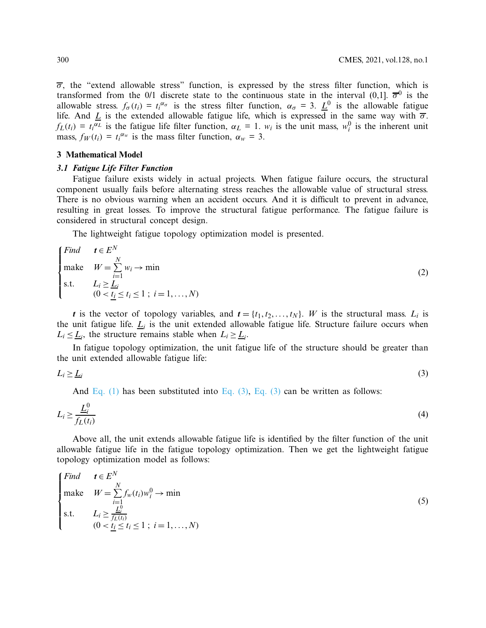$\overline{\sigma}$ , the "extend allowable stress" function, is expressed by the stress filter function, which is transformed from the 0/1 discrete state to the continuous state in the interval  $(0,1]$ .  $\overline{\sigma}^0$  is the allowable stress.  $f_{\sigma}(t_i) = t_i^{\alpha_{\sigma}}$  is the stress filter function,  $\alpha_{\sigma} = 3$ .  $\underline{L}^0$  is the allowable fatigue life. And  $\underline{L}$  is the extended allowable fatigue life, which is expressed in the same way with  $\overline{\sigma}$ .  $f_L(t_i) = t_i^{\alpha_L}$  is the fatigue life filter function,  $\alpha_L = 1$ .  $w_i$  is the unit mass,  $w_i^0$  is the inherent unit mass,  $f_W(t_i) = t_i^{\alpha_w}$  is the mass filter function,  $\alpha_w = 3$ .

#### **3 Mathematical Model**

#### *3.1 Fatigue Life Filter Function*

Fatigue failure exists widely in actual projects. When fatigue failure occurs, the structural component usually fails before alternating stress reaches the allowable value of structural stress. There is no obvious warning when an accident occurs. And it is difficult to prevent in advance, resulting in great losses. To improve the structural fatigue performance. The fatigue failure is considered in structural concept design.

The lightweight fatigue topology optimization model is presented.

$$
\begin{cases}\nFind & t \in E^N \\
make & W = \sum_{i=1}^N w_i \to \min \\
s.t. & L_i \ge \underline{L}_i \\
(0 < \underline{t}_i \le t_i \le 1 \ ; \ i = 1, \dots, N)\n\end{cases} \tag{2}
$$

*t* is the vector of topology variables, and  $t = \{t_1, t_2, \ldots, t_N\}$ . *W* is the structural mass.  $L_i$  is the unit fatigue life.  $L_i$  is the unit extended allowable fatigue life. Structure failure occurs when  $L_i \leq L_i$ , the structure remains stable when  $L_i \geq L_i$ .

In fatigue topology optimization, the unit fatigue life of the structure should be greater than the unit extended allowable fatigue life:

$$
L_i \geq \underline{L}_i \tag{3}
$$

<span id="page-3-1"></span><span id="page-3-0"></span>And [Eq. \(1\)](#page-2-1) has been substituted into [Eq. \(3\),](#page-3-0) [Eq. \(3\)](#page-3-0) can be written as follows:

$$
L_i \ge \frac{\underline{L}_i^0}{f_L(t_i)}\tag{4}
$$

Above all, the unit extends allowable fatigue life is identified by the filter function of the unit allowable fatigue life in the fatigue topology optimization. Then we get the lightweight fatigue topology optimization model as follows:

$$
\begin{cases}\nFind & t \in E^N \\
make & W = \sum_{i=1}^N f_w(t_i)w_i^0 \to \min \\
s.t. & L_i \ge \frac{L_i^0}{f_L(t_i)} \\
(0 < \underline{t_i} \le t_i \le 1 \ ; \ i = 1, \dots, N)\n\end{cases} \tag{5}
$$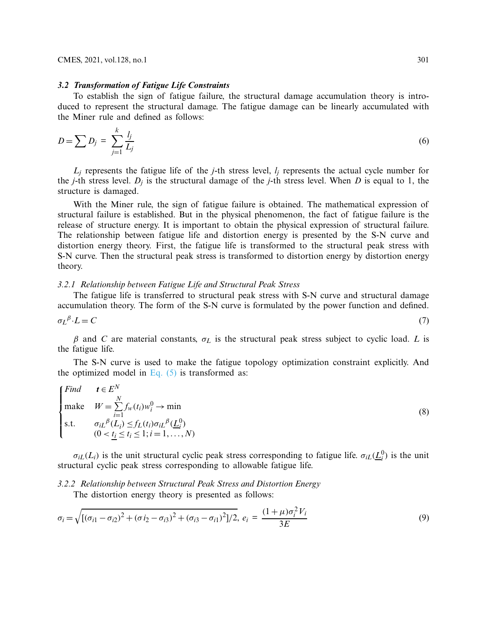#### *3.2 Transformation of Fatigue Life Constraints*

To establish the sign of fatigue failure, the structural damage accumulation theory is introduced to represent the structural damage. The fatigue damage can be linearly accumulated with the Miner rule and defined as follows:

$$
D = \sum D_j = \sum_{j=1}^k \frac{l_j}{L_j} \tag{6}
$$

 $L_i$  represents the fatigue life of the *j*-th stress level,  $l_i$  represents the actual cycle number for the *j*-th stress level.  $D_i$  is the structural damage of the *j*-th stress level. When *D* is equal to 1, the structure is damaged.

With the Miner rule, the sign of fatigue failure is obtained. The mathematical expression of structural failure is established. But in the physical phenomenon, the fact of fatigue failure is the release of structure energy. It is important to obtain the physical expression of structural failure. The relationship between fatigue life and distortion energy is presented by the S-N curve and distortion energy theory. First, the fatigue life is transformed to the structural peak stress with S-N curve. Then the structural peak stress is transformed to distortion energy by distortion energy theory.

### *3.2.1 Relationship between Fatigue Life and Structural Peak Stress*

The fatigue life is transferred to structural peak stress with S-N curve and structural damage accumulation theory. The form of the S-N curve is formulated by the power function and defined.

$$
\sigma_L{}^{\beta} \cdot L = C \tag{7}
$$

β and *C* are material constants, σ*<sup>L</sup>* is the structural peak stress subject to cyclic load. *L* is the fatigue life.

The S-N curve is used to make the fatigue topology optimization constraint explicitly. And the optimized model in Eq.  $(5)$  is transformed as:

<span id="page-4-1"></span>
$$
\begin{cases}\nFind & t \in E^N \\
make & W = \sum_{i=1}^N f_w(t_i) w_i^0 \to \min \\
s.t. & \sigma_{iL}^{\beta}(L_i) \le f_L(t_i) \sigma_{iL}^{\beta}(L_i^0) \\
(0 < t_i \le t_i \le 1; i = 1, ..., N)\n\end{cases} \tag{8}
$$

 $\sigma_{iL}(L_i)$  is the unit structural cyclic peak stress corresponding to fatigue life.  $\sigma_{iL}(\underline{L}_i^0)$  is the unit structural cyclic peak stress corresponding to allowable fatigue life.

*3.2.2 Relationship between Structural Peak Stress and Distortion Energy* The distortion energy theory is presented as follows:

<span id="page-4-0"></span>
$$
\sigma_i = \sqrt{[(\sigma_{i1} - \sigma_{i2})^2 + (\sigma_{i2} - \sigma_{i3})^2 + (\sigma_{i3} - \sigma_{i1})^2]/2}, e_i = \frac{(1 + \mu)\sigma_i^2 V_i}{3E}
$$
(9)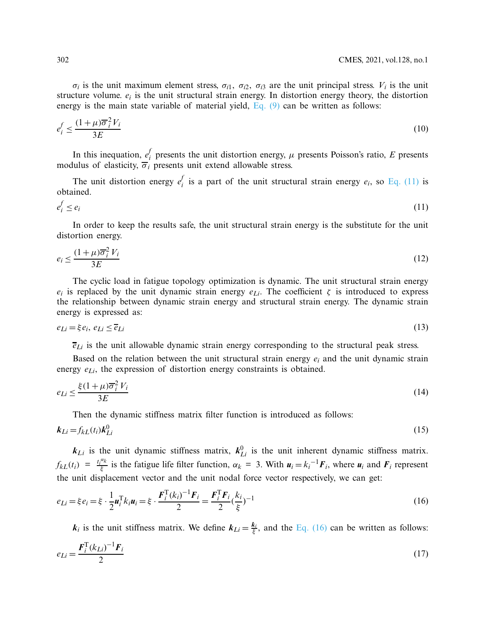$\sigma_i$  is the unit maximum element stress,  $\sigma_{i1}$ ,  $\sigma_{i2}$ ,  $\sigma_{i3}$  are the unit principal stress.  $V_i$  is the unit structure volume. *ei* is the unit structural strain energy. In distortion energy theory, the distortion energy is the main state variable of material yield, [Eq. \(9\)](#page-4-0) can be written as follows:

$$
e_i^f \le \frac{(1+\mu)\overline{\sigma}_i^2 V_i}{3E} \tag{10}
$$

In this inequation,  $e_i^f$  presents the unit distortion energy,  $\mu$  presents Poisson's ratio, *E* presents modulus of elasticity,  $\overline{\sigma}_i$  presents unit extend allowable stress.

<span id="page-5-0"></span>The unit distortion energy  $e_i^f$  is a part of the unit structural strain energy  $e_i$ , so [Eq. \(11\)](#page-5-0) is obtained.

$$
e_i^f \le e_i \tag{11}
$$

In order to keep the results safe, the unit structural strain energy is the substitute for the unit distortion energy.

$$
e_i \le \frac{(1+\mu)\overline{\sigma}_i^2 V_i}{3E} \tag{12}
$$

The cyclic load in fatigue topology optimization is dynamic. The unit structural strain energy *e<sub>i</sub>* is replaced by the unit dynamic strain energy  $e_{Li}$ . The coefficient  $\zeta$  is introduced to express the relationship between dynamic strain energy and structural strain energy. The dynamic strain energy is expressed as:

$$
e_{Li} = \xi e_i, \ e_{Li} \le \overline{e}_{Li} \tag{13}
$$

 $\overline{e}_{Li}$  is the unit allowable dynamic strain energy corresponding to the structural peak stress.

Based on the relation between the unit structural strain energy *ei* and the unit dynamic strain energy  $e_{Li}$ , the expression of distortion energy constraints is obtained.

$$
e_{Li} \le \frac{\xi (1 + \mu) \overline{\sigma}_i^2 V_i}{3E} \tag{14}
$$

<span id="page-5-2"></span>Then the dynamic stiffness matrix filter function is introduced as follows:

$$
\boldsymbol{k}_{Li} = f_{kL}(t_i) \boldsymbol{k}_{Li}^0 \tag{15}
$$

 $k_{Li}$  is the unit dynamic stiffness matrix,  $k_{Li}^0$  is the unit inherent dynamic stiffness matrix.  $f_{kL}(t_i) = \frac{t_i^{\alpha_k}}{\xi}$  is the fatigue life filter function,  $\alpha_k = 3$ . With  $u_i = k_i^{-1}F_i$ , where  $u_i$  and  $F_i$  represent the unit displacement vector and the unit nodal force vector respectively, we can get:

$$
e_{Li} = \xi e_i = \xi \cdot \frac{1}{2} \mathbf{u}_i^{\mathrm{T}} k_i \mathbf{u}_i = \xi \cdot \frac{\mathbf{F}_i^{\mathrm{T}} (k_i)^{-1} \mathbf{F}_i}{2} = \frac{\mathbf{F}_i^{\mathrm{T}} \mathbf{F}_i}{2} (\frac{k_i}{\xi})^{-1}
$$
(16)

<span id="page-5-1"></span>*k<sub>i</sub>* is the unit stiffness matrix. We define  $k_{Li} = \frac{k_i}{\xi}$ , and the [Eq. \(16\)](#page-5-1) can be written as follows:

$$
e_{Li} = \frac{F_i^{\mathrm{T}} (k_{Li})^{-1} F_i}{2} \tag{17}
$$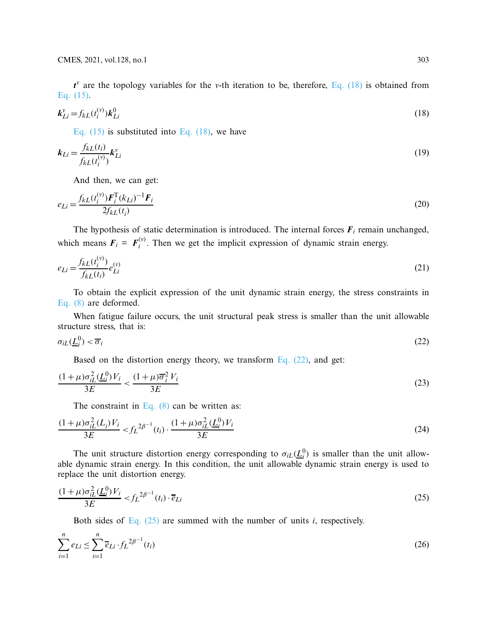<span id="page-6-0"></span> $t^v$  are the topology variables for the *v*-th iteration to be, therefore, [Eq. \(18\)](#page-6-0) is obtained from [Eq. \(15\).](#page-5-2)

$$
\mathbf{k}_{Li}^{\nu} = f_{kL}(t_i^{(\nu)}) \mathbf{k}_{Li}^0 \tag{18}
$$

Eq.  $(15)$  is substituted into Eq.  $(18)$ , we have

$$
k_{Li} = \frac{f_{kL}(t_i)}{f_{kL}(t_i^{(v)})} k_{Li}^v
$$
 (19)

<span id="page-6-3"></span>And then, we can get:

$$
e_{Li} = \frac{f_{kL}(t_i^{(v)}) \mathbf{F}_i^{\mathrm{T}}(k_{Li})^{-1} \mathbf{F}_i}{2f_{kL}(t_i)}
$$
(20)

The hypothesis of static determination is introduced. The internal forces  $F_i$  remain unchanged, which means  $\mathbf{F}_i = \mathbf{F}_i^{(v)}$ . Then we get the implicit expression of dynamic strain energy.

$$
e_{Li} = \frac{f_{kL}(t_i^{(v)})}{f_{kL}(t_i)} e_{Li}^{(v)}
$$
(21)

To obtain the explicit expression of the unit dynamic strain energy, the stress constraints in [Eq. \(8\)](#page-4-1) are deformed.

When fatigue failure occurs, the unit structural peak stress is smaller than the unit allowable structure stress, that is:

$$
\sigma_{iL}(\underline{L}_i^0) < \overline{\sigma}_i \tag{22}
$$

<span id="page-6-1"></span>Based on the distortion energy theory, we transform Eq.  $(22)$ , and get:

$$
\frac{(1+\mu)\sigma_{iL}^2(\underline{L}_i^0)V_i}{3E} < \frac{(1+\mu)\overline{\sigma}_i^2 V_i}{3E} \tag{23}
$$

The constraint in [Eq. \(8\)](#page-4-1) can be written as:

$$
\frac{(1+\mu)\sigma_{iL}^2(L_i)V_i}{3E} < f_L^{2\beta^{-1}}(t_i) \cdot \frac{(1+\mu)\sigma_{iL}^2(L_i^0)V_i}{3E} \tag{24}
$$

The unit structure distortion energy corresponding to  $\sigma_{iL}(\underline{L}_i^0)$  is smaller than the unit allowable dynamic strain energy. In this condition, the unit allowable dynamic strain energy is used to replace the unit distortion energy.

$$
\frac{(1+\mu)\sigma_{iL}^2(\underline{L}_i^0)V_i}{3E} < f_L^{2\beta^{-1}}(t_i) \cdot \overline{e}_{Li} \tag{25}
$$

<span id="page-6-4"></span><span id="page-6-2"></span>Both sides of Eq.  $(25)$  are summed with the number of units *i*, respectively.

$$
\sum_{i=1}^{n} e_{Li} \le \sum_{i=1}^{n} \overline{e}_{Li} \cdot f_L^{2\beta^{-1}}(t_i)
$$
 (26)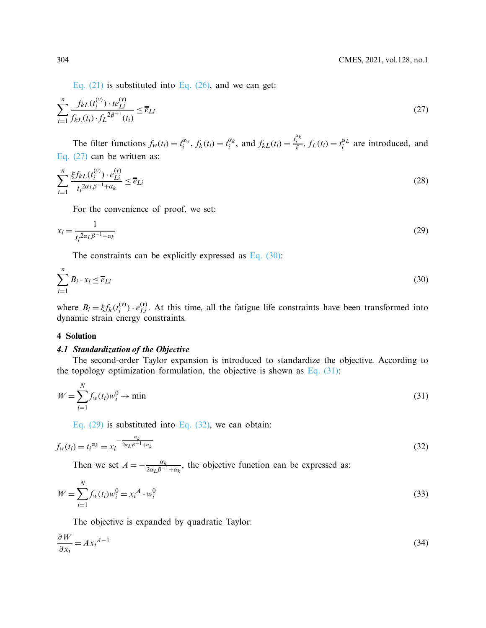<span id="page-7-0"></span>Eq.  $(21)$  is substituted into Eq.  $(26)$ , and we can get:

$$
\sum_{i=1}^{n} \frac{f_{kL}(t_i^{(v)}) \cdot t e_{Li}^{(v)}}{f_{kL}(t_i) \cdot f_L^{2\beta^{-1}}(t_i)} \le \overline{e}_{Li}
$$
\n(27)

The filter functions  $f_w(t_i) = t_i^{\alpha_w}$ ,  $f_k(t_i) = t_i^{\alpha_k}$ , and  $f_{kL}(t_i) = \frac{t_i^{\alpha_k}}{\xi}$ ,  $f_L(t_i) = t_i^{\alpha_L}$  are introduced, and [Eq. \(27\)](#page-7-0) can be written as:

$$
\sum_{i=1}^{n} \frac{\xi f_{kL}(t_i^{(v)}) \cdot e_{Li}^{(v)}}{t_i^{2\alpha_L \beta^{-1} + \alpha_k}} \le \overline{e}_{Li}
$$
\n
$$
(28)
$$

<span id="page-7-3"></span>For the convenience of proof, we set:

$$
x_i = \frac{1}{t_i^{2\alpha_L \beta^{-1} + \alpha_k}}\tag{29}
$$

<span id="page-7-1"></span>The constraints can be explicitly expressed as Eq.  $(30)$ :

$$
\sum_{i=1}^{n} B_i \cdot x_i \le \overline{e}_{Li}
$$
\n(30)

where  $B_i = \xi f_k(t_i^{(v)}) \cdot e_{Li}^{(v)}$ . At this time, all the fatigue life constraints have been transformed into dynamic strain energy constraints.

#### **4 Solution**

#### *4.1 Standardization of the Objective*

The second-order Taylor expansion is introduced to standardize the objective. According to the topology optimization formulation, the objective is shown as Eq.  $(31)$ :

$$
W = \sum_{i=1}^{N} f_w(t_i) w_i^0 \to \min
$$
 (31)

<span id="page-7-4"></span><span id="page-7-2"></span>Eq.  $(29)$  is substituted into Eq.  $(32)$ , we can obtain:

$$
f_w(t_i) = t_i^{\alpha_k} = x_i^{-\frac{\alpha_k}{2\alpha_L \beta^{-1} + \alpha_k}}
$$
\n
$$
(32)
$$

Then we set  $A = -\frac{\alpha_k}{2\alpha_L \beta^{-1} + \alpha_k}$ , the objective function can be expressed as:

$$
W = \sum_{i=1}^{N} f_w(t_i) w_i^0 = x_i^A \cdot w_i^0
$$
\n(33)

The objective is expanded by quadratic Taylor:

$$
\frac{\partial W}{\partial x_i} = A x_i^{A-1} \tag{34}
$$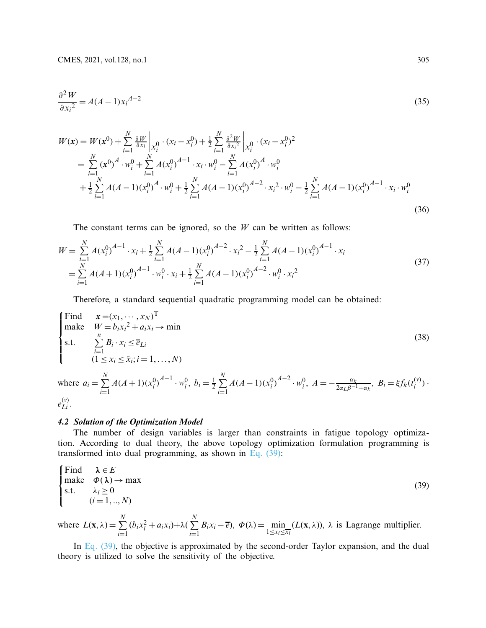$$
\frac{\partial^2 W}{\partial x_i^2} = A(A-1)x_i^{A-2}
$$
\n(35)

$$
W(\mathbf{x}) = W(\mathbf{x}^{0}) + \sum_{i=1}^{N} \frac{\partial W}{\partial x_{i}} \Big|_{x_{i}^{0}} \cdot (x_{i} - x_{i}^{0}) + \frac{1}{2} \sum_{i=1}^{N} \frac{\partial^{2} W}{\partial x_{i}^{2}} \Big|_{x_{i}^{0}} \cdot (x_{i} - x_{i}^{0})^{2}
$$
  
\n
$$
= \sum_{i=1}^{N} (\mathbf{x}^{0})^{A} \cdot w_{i}^{0} + \sum_{i=1}^{N} A(x_{i}^{0})^{A-1} \cdot x_{i} \cdot w_{i}^{0} - \sum_{i=1}^{N} A(x_{i}^{0})^{A} \cdot w_{i}^{0}
$$
  
\n
$$
+ \frac{1}{2} \sum_{i=1}^{N} A(A-1)(x_{i}^{0})^{A} \cdot w_{i}^{0} + \frac{1}{2} \sum_{i=1}^{N} A(A-1)(x_{i}^{0})^{A-2} \cdot x_{i}^{2} \cdot w_{i}^{0} - \frac{1}{2} \sum_{i=1}^{N} A(A-1)(x_{i}^{0})^{A-1} \cdot x_{i} \cdot w_{i}^{0}
$$
  
\n(36)

The constant terms can be ignored, so the *W* can be written as follows:

$$
W = \sum_{i=1}^{N} A(x_i^0)^{A-1} \cdot x_i + \frac{1}{2} \sum_{i=1}^{N} A(A-1)(x_i^0)^{A-2} \cdot x_i^2 - \frac{1}{2} \sum_{i=1}^{N} A(A-1)(x_i^0)^{A-1} \cdot x_i
$$
  
=  $\sum_{i=1}^{N} A(A+1)(x_i^0)^{A-1} \cdot w_i^0 \cdot x_i + \frac{1}{2} \sum_{i=1}^{N} A(A-1)(x_i^0)^{A-2} \cdot w_i^0 \cdot x_i^2$  (37)

Therefore, a standard sequential quadratic programming model can be obtained:

Find 
$$
\mathbf{x} = (x_1, \dots, x_N)^T
$$
  
\nmake  $W = b_i x_i^2 + a_i x_i \rightarrow \min$   
\ns.t.  $\sum_{i=1}^n B_i \cdot x_i \le \overline{e}_{Li}$   
\n $(1 \le x_i \le \overline{x}_i; i = 1, ..., N)$   
\nwhere  $a_i = \sum_{i=1}^N A(A+1) (x_i^0)^{A-1} \cdot w_i^0$ ,  $b_i = \frac{1}{2} \sum_{i=1}^N A(A-1) (x_i^0)^{A-2} \cdot w_i^0$ ,  $A = -\frac{\alpha_k}{2\alpha_L \beta^{-1} + \alpha_k}$ ,  $B_i = \xi f_k(t_i^{(v)})$ .

$$
e_{Li}^{(v)}.
$$

# *4.2 Solution of the Optimization Model*

The number of design variables is larger than constraints in fatigue topology optimization. According to dual theory, the above topology optimization formulation programming is transformed into dual programming, as shown in [Eq. \(39\):](#page-8-0)

<span id="page-8-0"></span>Find 
$$
\lambda \in E
$$
  
\nmake  $\Phi(\lambda) \to \max$   
\ns.t.  $\lambda_i \ge 0$   
\n $(i = 1, ..., N)$   
\nwhere  $L(\mathbf{x}, \lambda) = \sum_{i=1}^{N} (b_i x_i^2 + a_i x_i) + \lambda (\sum_{i=1}^{N} B_i x_i - \overline{e}), \ \Phi(\lambda) = \min_{1 \le x_i \le \overline{x_i}} (L(\mathbf{x}, \lambda)), \ \lambda \text{ is Lagrange multiplier.}$ 

In [Eq. \(39\),](#page-8-0) the objective is approximated by the second-order Taylor expansion, and the dual theory is utilized to solve the sensitivity of the objective.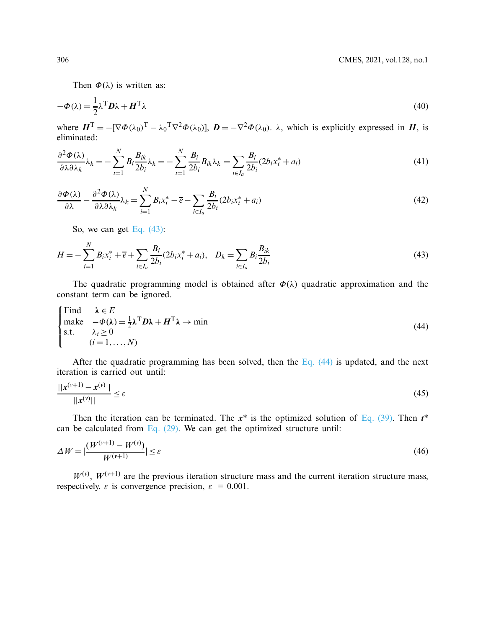Then  $\Phi(\lambda)$  is written as:

$$
-\Phi(\lambda) = \frac{1}{2}\lambda^{\mathrm{T}}\mathbf{D}\lambda + \mathbf{H}^{\mathrm{T}}\lambda
$$
\n(40)

where  $H^T = -[\nabla \Phi(\lambda_0)^T - \lambda_0^T \nabla^2 \Phi(\lambda_0)], D = -\nabla^2 \Phi(\lambda_0)$ .  $\lambda$ , which is explicitly expressed in *H*, is eliminated:

$$
\frac{\partial^2 \Phi(\lambda)}{\partial \lambda \partial \lambda_k} \lambda_k = -\sum_{i=1}^N B_i \frac{B_{ik}}{2b_i} \lambda_k = -\sum_{i=1}^N \frac{B_i}{2b_i} B_{ik} \lambda_k = \sum_{i \in I_a} \frac{B_i}{2b_i} (2b_i x_i^* + a_i)
$$
(41)

$$
\frac{\partial \Phi(\lambda)}{\partial \lambda} - \frac{\partial^2 \Phi(\lambda)}{\partial \lambda \partial \lambda_k} \lambda_k = \sum_{i=1}^N B_i x_i^* - \overline{e} - \sum_{i \in I_a} \frac{B_i}{2b_i} (2b_i x_i^* + a_i)
$$
(42)

<span id="page-9-0"></span>So, we can get Eq.  $(43)$ :

$$
H = -\sum_{i=1}^{N} B_i x_i^* + \overline{e} + \sum_{i \in I_a} \frac{B_i}{2b_i} (2b_i x_i^* + a_i), \quad D_k = \sum_{i \in I_a} B_i \frac{B_{ik}}{2b_i}
$$
(43)

The quadratic programming model is obtained after  $\Phi(\lambda)$  quadratic approximation and the constant term can be ignored.

<span id="page-9-1"></span>Find 
$$
\lambda \in E
$$
  
make  $-\Phi(\lambda) = \frac{1}{2}\lambda^{\text{T}}D\lambda + H^{\text{T}}\lambda \to \min$   
s.t.  $\lambda_i \ge 0$   
 $(i = 1,..., N)$  (44)

After the quadratic programming has been solved, then the [Eq. \(44\)](#page-9-1) is updated, and the next iteration is carried out until:

$$
\frac{||\mathbf{x}^{(\nu+1)} - \mathbf{x}^{(\nu)}||}{||\mathbf{x}^{(\nu)}||} \le \varepsilon \tag{45}
$$

Then the iteration can be terminated. The  $x^*$  is the optimized solution of [Eq. \(39\).](#page-8-0) Then  $t^*$ can be calculated from Eq.  $(29)$ . We can get the optimized structure until:

<span id="page-9-2"></span>
$$
\Delta W = \left| \frac{(W^{(\nu+1)} - W^{(\nu)})}{W^{(\nu+1)}} \right| \le \varepsilon \tag{46}
$$

 $W^{(v)}$ ,  $W^{(v+1)}$  are the previous iteration structure mass and the current iteration structure mass, respectively.  $\varepsilon$  is convergence precision,  $\varepsilon = 0.001$ .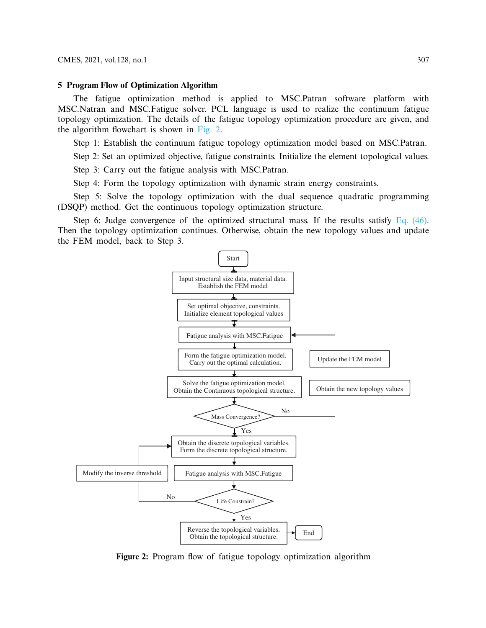#### **5 Program Flow of Optimization Algorithm**

The fatigue optimization method is applied to MSC.Patran software platform with MSC.Natran and MSC.Fatigue solver. PCL language is used to realize the continuum fatigue topology optimization. The details of the fatigue topology optimization procedure are given, and the algorithm flowchart is shown in [Fig. 2.](#page-10-0)

Step 1: Establish the continuum fatigue topology optimization model based on MSC.Patran.

Step 2: Set an optimized objective, fatigue constraints. Initialize the element topological values.

Step 3: Carry out the fatigue analysis with MSC.Patran.

Step 4: Form the topology optimization with dynamic strain energy constraints.

Step 5: Solve the topology optimization with the dual sequence quadratic programming (DSQP) method. Get the continuous topology optimization structure.

Step 6: Judge convergence of the optimized structural mass. If the results satisfy [Eq. \(46\).](#page-9-2) Then the topology optimization continues. Otherwise, obtain the new topology values and update the FEM model, back to Step 3.



<span id="page-10-0"></span>**Figure 2:** Program flow of fatigue topology optimization algorithm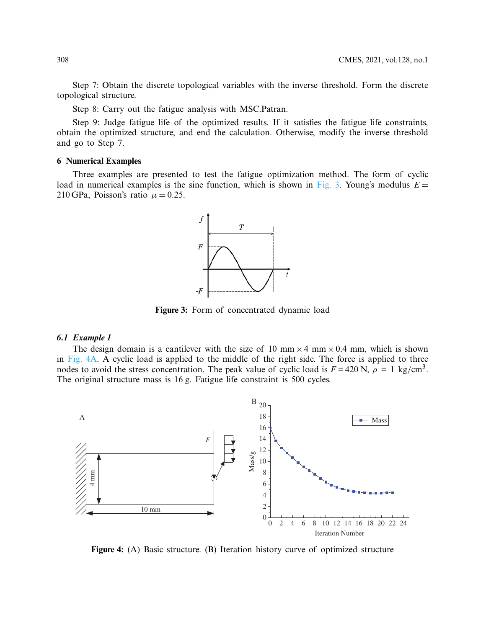Step 7: Obtain the discrete topological variables with the inverse threshold. Form the discrete topological structure.

Step 8: Carry out the fatigue analysis with MSC.Patran.

Step 9: Judge fatigue life of the optimized results. If it satisfies the fatigue life constraints, obtain the optimized structure, and end the calculation. Otherwise, modify the inverse threshold and go to Step 7.

#### **6 Numerical Examples**

Three examples are presented to test the fatigue optimization method. The form of cyclic load in numerical examples is the sine function, which is shown in [Fig. 3.](#page-11-0) Young's modulus  $E =$ 210 GPa, Poisson's ratio  $\mu = 0.25$ .

<span id="page-11-0"></span>

**Figure 3:** Form of concentrated dynamic load

# *6.1 Example 1*

The design domain is a cantilever with the size of 10 mm  $\times$  4 mm  $\times$  0.4 mm, which is shown in [Fig. 4A.](#page-11-1) A cyclic load is applied to the middle of the right side. The force is applied to three nodes to avoid the stress concentration. The peak value of cyclic load is  $F = 420$  N,  $\rho = 1$  kg/cm<sup>3</sup>. The original structure mass is 16 g. Fatigue life constraint is 500 cycles.



<span id="page-11-1"></span>**Figure 4:** (A) Basic structure. (B) Iteration history curve of optimized structure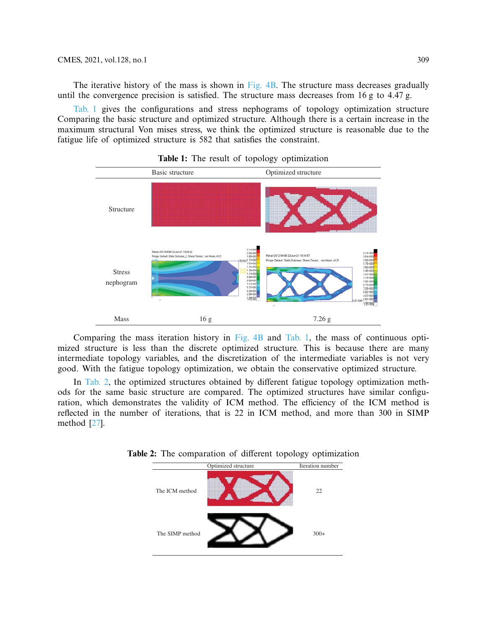The iterative history of the mass is shown in [Fig. 4B.](#page-11-1) The structure mass decreases gradually until the convergence precision is satisfied. The structure mass decreases from  $16 g$  to  $4.47 g$ .

[Tab. 1](#page-12-0) gives the configurations and stress nephograms of topology optimization structure Comparing the basic structure and optimized structure. Although there is a certain increase in the maximum structural Von mises stress, we think the optimized structure is reasonable due to the fatigue life of optimized structure is 582 that satisfies the constraint.

<span id="page-12-0"></span>

**Table 1:** The result of topology optimization

Comparing the mass iteration history in [Fig. 4B](#page-11-1) and [Tab. 1,](#page-12-0) the mass of continuous optimized structure is less than the discrete optimized structure. This is because there are many intermediate topology variables, and the discretization of the intermediate variables is not very good. With the fatigue topology optimization, we obtain the conservative optimized structure.

<span id="page-12-1"></span>In [Tab. 2,](#page-12-1) the optimized structures obtained by different fatigue topology optimization methods for the same basic structure are compared. The optimized structures have similar configuration, which demonstrates the validity of ICM method. The efficiency of the ICM method is reflected in the number of iterations, that is 22 in ICM method, and more than 300 in SIMP method [\[27\]](#page-17-2).



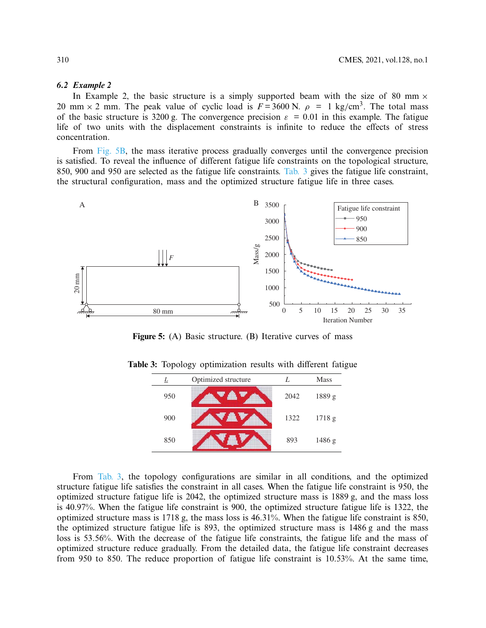# *6.2 Example 2*

In Example 2, the basic structure is a simply supported beam with the size of 80 mm  $\times$ 20 mm  $\times$  2 mm. The peak value of cyclic load is  $F = 3600$  N.  $\rho = 1$  kg/cm<sup>3</sup>. The total mass of the basic structure is 3200 g. The convergence precision  $\varepsilon = 0.01$  in this example. The fatigue life of two units with the displacement constraints is infinite to reduce the effects of stress concentration.

From [Fig. 5B,](#page-13-0) the mass iterative process gradually converges until the convergence precision is satisfied. To reveal the influence of different fatigue life constraints on the topological structure, 850, 900 and 950 are selected as the fatigue life constraints. [Tab. 3](#page-13-1) gives the fatigue life constraint, the structural configuration, mass and the optimized structure fatigue life in three cases.



**Figure 5:** (A) Basic structure. (B) Iterative curves of mass

<span id="page-13-0"></span>

|     | Optimized structure |      | <b>Mass</b> |
|-----|---------------------|------|-------------|
| 950 |                     | 2042 | 1889 g      |
| 900 |                     | 1322 | 1718 g      |
| 850 |                     | 893  | 1486 g      |

<span id="page-13-1"></span>**Table 3:** Topology optimization results with different fatigue

From [Tab. 3,](#page-13-1) the topology configurations are similar in all conditions, and the optimized structure fatigue life satisfies the constraint in all cases. When the fatigue life constraint is 950, the optimized structure fatigue life is 2042, the optimized structure mass is 1889 g, and the mass loss is 40.97%. When the fatigue life constraint is 900, the optimized structure fatigue life is 1322, the optimized structure mass is 1718 g, the mass loss is 46.31%. When the fatigue life constraint is 850, the optimized structure fatigue life is 893, the optimized structure mass is 1486 g and the mass loss is 53.56%. With the decrease of the fatigue life constraints, the fatigue life and the mass of optimized structure reduce gradually. From the detailed data, the fatigue life constraint decreases from 950 to 850. The reduce proportion of fatigue life constraint is 10.53%. At the same time,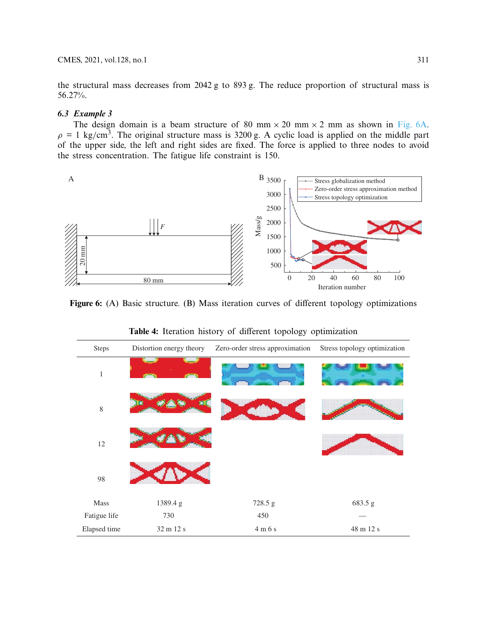the structural mass decreases from 2042 g to 893 g. The reduce proportion of structural mass is 56.27%.

# *6.3 Example 3*

The design domain is a beam structure of 80 mm  $\times$  20 mm  $\times$  2 mm as shown in [Fig. 6A.](#page-14-0)  $\rho = 1$  kg/cm<sup>3</sup>. The original structure mass is 3200 g. A cyclic load is applied on the middle part of the upper side, the left and right sides are fixed. The force is applied to three nodes to avoid the stress concentration. The fatigue life constraint is 150.



<span id="page-14-1"></span>**Figure 6:** (A) Basic structure. (B) Mass iteration curves of different topology optimizations

| Steps        | Distortion energy theory | Zero-order stress approximation | Stress topology optimization |
|--------------|--------------------------|---------------------------------|------------------------------|
| $\mathbf{1}$ |                          |                                 |                              |
| 8            |                          |                                 |                              |
| 12           |                          |                                 |                              |
| 98           |                          |                                 |                              |
| Mass         | 1389.4g                  | 728.5 g                         | 683.5 g                      |
| Fatigue life | 730                      | 450                             |                              |
| Elapsed time | 32 m 12 s                | 4m6s                            | 48 m 12 s                    |

<span id="page-14-0"></span>**Table 4:** Iteration history of different topology optimization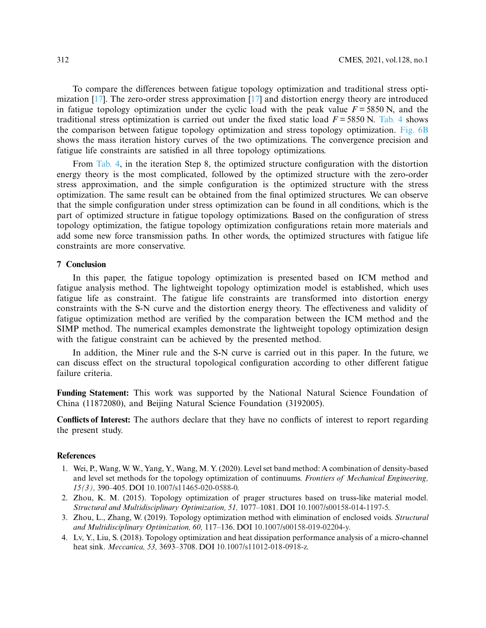To compare the differences between fatigue topology optimization and traditional stress optimization [\[17\]](#page-16-12). The zero-order stress approximation [\[17](#page-16-12)] and distortion energy theory are introduced in fatigue topology optimization under the cyclic load with the peak value  $F = 5850$  N, and the traditional stress optimization is carried out under the fixed static load  $F = 5850$  N. [Tab. 4](#page-14-1) shows the comparison between fatigue topology optimization and stress topology optimization. [Fig. 6B](#page-14-0) shows the mass iteration history curves of the two optimizations. The convergence precision and fatigue life constraints are satisfied in all three topology optimizations.

From [Tab. 4,](#page-14-1) in the iteration Step 8, the optimized structure configuration with the distortion energy theory is the most complicated, followed by the optimized structure with the zero-order stress approximation, and the simple configuration is the optimized structure with the stress optimization. The same result can be obtained from the final optimized structures. We can observe that the simple configuration under stress optimization can be found in all conditions, which is the part of optimized structure in fatigue topology optimizations. Based on the configuration of stress topology optimization, the fatigue topology optimization configurations retain more materials and add some new force transmission paths. In other words, the optimized structures with fatigue life constraints are more conservative.

## **7 Conclusion**

In this paper, the fatigue topology optimization is presented based on ICM method and fatigue analysis method. The lightweight topology optimization model is established, which uses fatigue life as constraint. The fatigue life constraints are transformed into distortion energy constraints with the S-N curve and the distortion energy theory. The effectiveness and validity of fatigue optimization method are verified by the comparation between the ICM method and the SIMP method. The numerical examples demonstrate the lightweight topology optimization design with the fatigue constraint can be achieved by the presented method.

In addition, the Miner rule and the S-N curve is carried out in this paper. In the future, we can discuss effect on the structural topological configuration according to other different fatigue failure criteria.

**Funding Statement:** This work was supported by the National Natural Science Foundation of China (11872080), and Beijing Natural Science Foundation (3192005).

**Conflicts of Interest:** The authors declare that they have no conflicts of interest to report regarding the present study.

## **References**

- <span id="page-15-0"></span>1. Wei, P., Wang, W. W., Yang, Y., Wang, M. Y. (2020). Level set band method: A combination of density-based and level set methods for the topology optimization of continuums. *Frontiers of Mechanical Engineering, 15(3),* 390–405. DOI [10.1007/s11465-020-0588-0.](http://dx.doi.org/10.1007/s11465-020-0588-0)
- 2. Zhou, K. M. (2015). Topology optimization of prager structures based on truss-like material model. *Structural and Multidisciplinary Optimization, 51,* 1077–1081. DOI [10.1007/s00158-014-1197-5.](http://dx.doi.org/10.1007/s00158-014-1197-5)
- <span id="page-15-1"></span>3. Zhou, L., Zhang, W. (2019). Topology optimization method with elimination of enclosed voids. *Structural and Multidisciplinary Optimization, 60,* 117–136. DOI [10.1007/s00158-019-02204-y.](http://dx.doi.org/10.1007/s00158-019-02204-y)
- <span id="page-15-2"></span>4. Lv, Y., Liu, S. (2018). Topology optimization and heat dissipation performance analysis of a micro-channel heat sink. *Meccanica, 53,* 3693–3708. DOI [10.1007/s11012-018-0918-z.](http://dx.doi.org/10.1007/s11012-018-0918-z)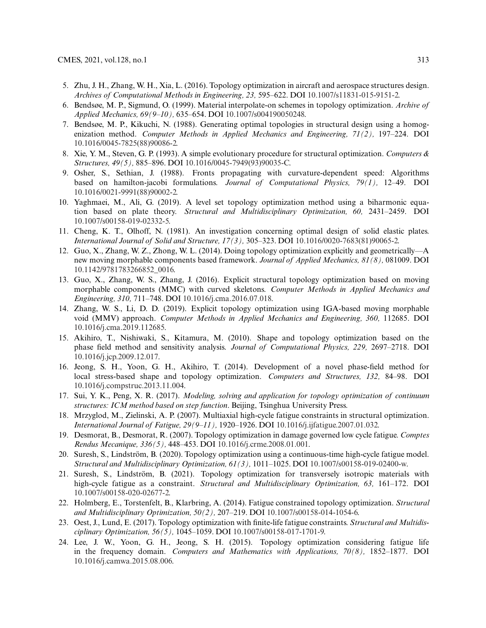- <span id="page-16-0"></span>5. Zhu, J. H., Zhang, W. H., Xia, L. (2016). Topology optimization in aircraft and aerospace structures design. *Archives of Computational Methods in Engineering, 23,* 595–622. DOI [10.1007/s11831-015-9151-2.](http://dx.doi.org/10.1007/s11831-015-9151-2)
- <span id="page-16-1"></span>6. Bendsøe, M. P., Sigmund, O. (1999). Material interpolate-on schemes in topology optimization. *Archive of Applied Mechanics, 69(9–10),* 635–654. DOI [10.1007/s004190050248.](http://dx.doi.org/10.1007/s004190050248)
- <span id="page-16-2"></span>7. Bendsøe, M. P., Kikuchi, N. (1988). Generating optimal topologies in structural design using a homogenization method. *Computer Methods in Applied Mechanics and Engineering, 71(2),* 197–224. DOI [10.1016/0045-7825\(88\)90086-2.](http://dx.doi.org/10.1016/0045-7825(88)90086-2)
- <span id="page-16-3"></span>8. Xie, Y. M., Steven, G. P. (1993). A simple evolutionary procedure for structural optimization. *Computers & Structures, 49(5),* 885–896. DOI [10.1016/0045-7949\(93\)90035-C.](http://dx.doi.org/10.1016/0045-7949(93)90035-C)
- <span id="page-16-4"></span>9. Osher, S., Sethian, J. (1988). Fronts propagating with curvature-dependent speed: Algorithms based on hamilton-jacobi formulations. *Journal of Computational Physics, 79(1),* 12–49. DOI [10.1016/0021-9991\(88\)90002-2.](http://dx.doi.org/10.1016/0021-9991(88)90002-2)
- <span id="page-16-5"></span>10. Yaghmaei, M., Ali, G. (2019). A level set topology optimization method using a biharmonic equation based on plate theory. *Structural and Multidisciplinary Optimization, 60,* 2431–2459. DOI [10.1007/s00158-019-02332-5.](http://dx.doi.org/10.1007/s00158-019-02332-5)
- <span id="page-16-6"></span>11. Cheng, K. T., Olhoff, N. (1981). An investigation concerning optimal design of solid elastic plates. *International Journal of Solid and Structure, 17(3),* 305–323. DOI [10.1016/0020-7683\(81\)90065-2.](http://dx.doi.org/10.1016/0020-7683(81)90065-2)
- <span id="page-16-7"></span>12. Guo, X., Zhang, W. Z., Zhong, W. L. (2014). Doing topology optimization explicitly and geometrically—A new moving morphable components based framework. *Journal of Applied Mechanics, 81(8),* 081009. DOI [10.1142/9781783266852\\_0016.](http://dx.doi.org/10.1142/9781783266852_0016)
- <span id="page-16-8"></span>13. Guo, X., Zhang, W. S., Zhang, J. (2016). Explicit structural topology optimization based on moving morphable components (MMC) with curved skeletons. *Computer Methods in Applied Mechanics and Engineering, 310,* 711–748. DOI [10.1016/j.cma.2016.07.018.](http://dx.doi.org/10.1016/j.cma.2016.07.018)
- <span id="page-16-9"></span>14. Zhang, W. S., Li, D. D. (2019). Explicit topology optimization using IGA-based moving morphable void (MMV) approach. *Computer Methods in Applied Mechanics and Engineering, 360,* 112685. DOI [10.1016/j.cma.2019.112685.](http://dx.doi.org/10.1016/j.cma.2019.112685)
- <span id="page-16-10"></span>15. Akihiro, T., Nishiwaki, S., Kitamura, M. (2010). Shape and topology optimization based on the phase field method and sensitivity analysis. *Journal of Computational Physics, 229,* 2697–2718. DOI [10.1016/j.jcp.2009.12.017.](http://dx.doi.org/10.1016/j.jcp.2009.12.017)
- <span id="page-16-11"></span>16. Jeong, S. H., Yoon, G. H., Akihiro, T. (2014). Development of a novel phase-field method for local stress-based shape and topology optimization. *Computers and Structures, 132,* 84–98. DOI [10.1016/j.compstruc.2013.11.004.](http://dx.doi.org/10.1016/j.compstruc.2013.11.004)
- <span id="page-16-12"></span>17. Sui, Y. K., Peng, X. R. (2017). *Modeling, solving and application for topology optimization of continuum structures: ICM method based on step function*. Beijing, Tsinghua University Press.
- <span id="page-16-13"></span>18. Mrzyglod, M., Zielinski, A. P. (2007). Multiaxial high-cycle fatigue constraints in structural optimization. *International Journal of Fatigue, 29(9–11),* 1920–1926. DOI [10.1016/j.ijfatigue.2007.01.032.](http://dx.doi.org/10.1016/j.ijfatigue.2007.01.032)
- <span id="page-16-14"></span>19. Desmorat, B., Desmorat, R. (2007). Topology optimization in damage governed low cycle fatigue. *Comptes Rendus Mecanique, 336(5),* 448–453. DOI [10.1016/j.crme.2008.01.001.](http://dx.doi.org/10.1016/j.crme.2008.01.001)
- <span id="page-16-15"></span>20. Suresh, S., Lindström, B. (2020). Topology optimization using a continuous-time high-cycle fatigue model. *Structural and Multidisciplinary Optimization, 61(3),* 1011–1025. DOI [10.1007/s00158-019-02400-w.](http://dx.doi.org/10.1007/s00158-019-02400-w)
- <span id="page-16-16"></span>21. Suresh, S., Lindström, B. (2021). Topology optimization for transversely isotropic materials with high-cycle fatigue as a constraint. *Structural and Multidisciplinary Optimization, 63,* 161–172. DOI [10.1007/s00158-020-02677-2.](http://dx.doi.org/10.1007/s00158-020-02677-2)
- <span id="page-16-17"></span>22. Holmberg, E., Torstenfelt, B., Klarbring, A. (2014). Fatigue constrained topology optimization. *Structural and Multidisciplinary Optimization, 50(2),* 207–219. DOI [10.1007/s00158-014-1054-6.](http://dx.doi.org/10.1007/s00158-014-1054-6)
- <span id="page-16-18"></span>23. Oest, J., Lund, E. (2017). Topology optimization with finite-life fatigue constraints. *Structural and Multidisciplinary Optimization, 56(5),* 1045–1059. DOI [10.1007/s00158-017-1701-9.](http://dx.doi.org/10.1007/s00158-017-1701-9)
- <span id="page-16-19"></span>24. Lee, J. W., Yoon, G. H., Jeong, S. H. (2015). Topology optimization considering fatigue life in the frequency domain. *Computers and Mathematics with Applications, 70(8),* 1852–1877. DOI [10.1016/j.camwa.2015.08.006.](http://dx.doi.org/10.1016/j.camwa.2015.08.006)